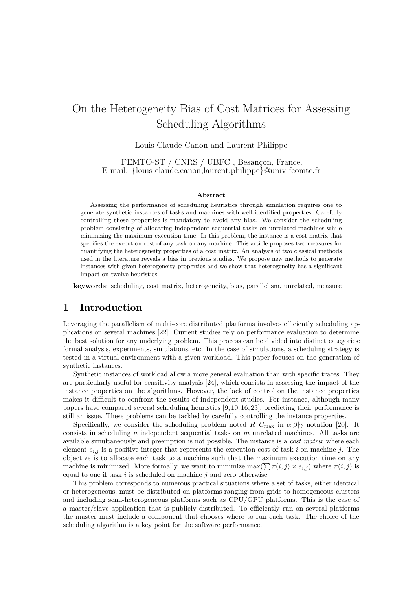# On the Heterogeneity Bias of Cost Matrices for Assessing Scheduling Algorithms

Louis-Claude Canon and Laurent Philippe

FEMTO-ST / CNRS / UBFC , Besançon, France. E-mail: {louis-claude.canon,laurent.philippe}@univ-fcomte.fr

#### **Abstract**

Assessing the performance of scheduling heuristics through simulation requires one to generate synthetic instances of tasks and machines with well-identified properties. Carefully controlling these properties is mandatory to avoid any bias. We consider the scheduling problem consisting of allocating independent sequential tasks on unrelated machines while minimizing the maximum execution time. In this problem, the instance is a cost matrix that specifies the execution cost of any task on any machine. This article proposes two measures for quantifying the heterogeneity properties of a cost matrix. An analysis of two classical methods used in the literature reveals a bias in previous studies. We propose new methods to generate instances with given heterogeneity properties and we show that heterogeneity has a significant impact on twelve heuristics.

**keywords**: scheduling, cost matrix, heterogeneity, bias, parallelism, unrelated, measure

### **1 Introduction**

Leveraging the parallelism of multi-core distributed platforms involves efficiently scheduling applications on several machines [\[22\]](#page-21-0). Current studies rely on performance evaluation to determine the best solution for any underlying problem. This process can be divided into distinct categories: formal analysis, experiments, simulations, etc. In the case of simulations, a scheduling strategy is tested in a virtual environment with a given workload. This paper focuses on the generation of synthetic instances.

Synthetic instances of workload allow a more general evaluation than with specific traces. They are particularly useful for sensitivity analysis [\[24\]](#page-21-1), which consists in assessing the impact of the instance properties on the algorithms. However, the lack of control on the instance properties makes it difficult to confront the results of independent studies. For instance, although many papers have compared several scheduling heuristics [\[9,](#page-20-0) [10,](#page-20-1) [16,](#page-21-2) [23\]](#page-21-3), predicting their performance is still an issue. These problems can be tackled by carefully controlling the instance properties.

Specifically, we consider the scheduling problem noted  $R||C_{\text{max}}$  in  $\alpha|\beta|\gamma$  notation [\[20\]](#page-21-4). It consists in scheduling *n* independent sequential tasks on *m* unrelated machines. All tasks are available simultaneously and preemption is not possible. The instance is a *cost matrix* where each element  $e_{i,j}$  is a positive integer that represents the execution cost of task *i* on machine *j*. The objective is to allocate each task to a machine such that the maximum execution time on any machine is minimized. More formally, we want to minimize  $\max(\sum \pi(i,j) \times e_{i,j})$  where  $\pi(i,j)$  is equal to one if task *i* is scheduled on machine *j* and zero otherwise.

This problem corresponds to numerous practical situations where a set of tasks, either identical or heterogeneous, must be distributed on platforms ranging from grids to homogeneous clusters and including semi-heterogeneous platforms such as CPU/GPU platforms. This is the case of a master/slave application that is publicly distributed. To efficiently run on several platforms the master must include a component that chooses where to run each task. The choice of the scheduling algorithm is a key point for the software performance.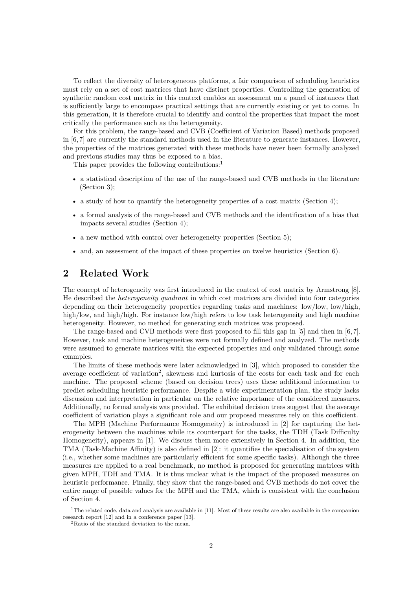To reflect the diversity of heterogeneous platforms, a fair comparison of scheduling heuristics must rely on a set of cost matrices that have distinct properties. Controlling the generation of synthetic random cost matrix in this context enables an assessment on a panel of instances that is sufficiently large to encompass practical settings that are currently existing or yet to come. In this generation, it is therefore crucial to identify and control the properties that impact the most critically the performance such as the heterogeneity.

For this problem, the range-based and CVB (Coefficient of Variation Based) methods proposed in [\[6,](#page-20-2) [7\]](#page-20-3) are currently the standard methods used in the literature to generate instances. However, the properties of the matrices generated with these methods have never been formally analyzed and previous studies may thus be exposed to a bias.

This paper provides the following contributions:<sup>[1](#page-1-0)</sup>

- a statistical description of the use of the range-based and CVB methods in the literature (Section [3\)](#page-2-0);
- a study of how to quantify the heterogeneity properties of a cost matrix (Section [4\)](#page-5-0);
- a formal analysis of the range-based and CVB methods and the identification of a bias that impacts several studies (Section [4\)](#page-5-0);
- a new method with control over heterogeneity properties (Section [5\)](#page-11-0);
- and, an assessment of the impact of these properties on twelve heuristics (Section [6\)](#page-15-0).

# <span id="page-1-2"></span>**2 Related Work**

The concept of heterogeneity was first introduced in the context of cost matrix by Armstrong [\[8\]](#page-20-4). He described the *heterogeneity quadrant* in which cost matrices are divided into four categories depending on their heterogeneity properties regarding tasks and machines: low/low, low/high, high/low, and high/high. For instance low/high refers to low task heterogeneity and high machine heterogeneity. However, no method for generating such matrices was proposed.

The range-based and CVB methods were first proposed to fill this gap in [\[5\]](#page-20-5) and then in [\[6,](#page-20-2) [7\]](#page-20-3). However, task and machine heterogeneities were not formally defined and analyzed. The methods were assumed to generate matrices with the expected properties and only validated through some examples.

The limits of these methods were later acknowledged in [\[3\]](#page-20-6), which proposed to consider the average coefficient of variation<sup>[2](#page-1-1)</sup>, skewness and kurtosis of the costs for each task and for each machine. The proposed scheme (based on decision trees) uses these additional information to predict scheduling heuristic performance. Despite a wide experimentation plan, the study lacks discussion and interpretation in particular on the relative importance of the considered measures. Additionally, no formal analysis was provided. The exhibited decision trees suggest that the average coefficient of variation plays a significant role and our proposed measures rely on this coefficient.

The MPH (Machine Performance Homogeneity) is introduced in [\[2\]](#page-20-7) for capturing the heterogeneity between the machines while its counterpart for the tasks, the TDH (Task Difficulty Homogeneity), appears in [\[1\]](#page-20-8). We discuss them more extensively in Section [4.](#page-5-0) In addition, the TMA (Task-Machine Affinity) is also defined in [\[2\]](#page-20-7): it quantifies the specialisation of the system (i.e., whether some machines are particularly efficient for some specific tasks). Although the three measures are applied to a real benchmark, no method is proposed for generating matrices with given MPH, TDH and TMA. It is thus unclear what is the impact of the proposed measures on heuristic performance. Finally, they show that the range-based and CVB methods do not cover the entire range of possible values for the MPH and the TMA, which is consistent with the conclusion of Section [4.](#page-5-0)

<span id="page-1-0"></span><sup>&</sup>lt;sup>1</sup>The related code, data and analysis are available in [\[11\]](#page-21-5). Most of these results are also available in the companion research report [\[12\]](#page-21-6) and in a conference paper [\[13\]](#page-21-7).

<span id="page-1-1"></span><sup>2</sup>Ratio of the standard deviation to the mean.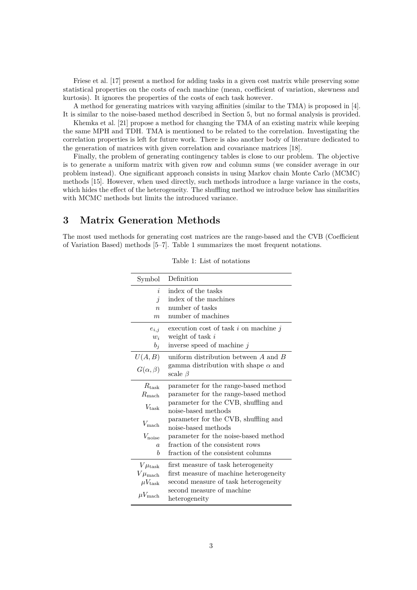Friese et al. [\[17\]](#page-21-8) present a method for adding tasks in a given cost matrix while preserving some statistical properties on the costs of each machine (mean, coefficient of variation, skewness and kurtosis). It ignores the properties of the costs of each task however.

A method for generating matrices with varying affinities (similar to the TMA) is proposed in [\[4\]](#page-20-9). It is similar to the noise-based method described in Section [5,](#page-11-0) but no formal analysis is provided.

Khemka et al. [\[21\]](#page-21-9) propose a method for changing the TMA of an existing matrix while keeping the same MPH and TDH. TMA is mentioned to be related to the correlation. Investigating the correlation properties is left for future work. There is also another body of literature dedicated to the generation of matrices with given correlation and covariance matrices [\[18\]](#page-21-10).

Finally, the problem of generating contingency tables is close to our problem. The objective is to generate a uniform matrix with given row and column sums (we consider average in our problem instead). One significant approach consists in using Markov chain Monte Carlo (MCMC) methods [\[15\]](#page-21-11). However, when used directly, such methods introduce a large variance in the costs, which hides the effect of the heterogeneity. The shuffling method we introduce below has similarities with MCMC methods but limits the introduced variance.

# <span id="page-2-0"></span>**3 Matrix Generation Methods**

<span id="page-2-1"></span>The most used methods for generating cost matrices are the range-based and the CVB (Coefficient of Variation Based) methods [\[5](#page-20-5)[–7\]](#page-20-3). Table [1](#page-2-1) summarizes the most frequent notations.

| Symbol                | Definition                                 |
|-----------------------|--------------------------------------------|
| $\dot{i}$             | index of the tasks                         |
| $\dot{j}$             | index of the machines                      |
| $\eta$                | number of tasks                            |
| m                     | number of machines                         |
| $e_{i,j}$             | execution cost of task $i$ on machine $j$  |
| $w_i$                 | weight of task $i$                         |
| $b_j$                 | inverse speed of machine $j$               |
| U(A, B)               | uniform distribution between $A$ and $B$   |
| $G(\alpha,\beta)$     | gamma distribution with shape $\alpha$ and |
|                       | scale $\beta$                              |
| $R_{\rm task}$        | parameter for the range-based method       |
| $R_{\rm mach}$        | parameter for the range-based method       |
| $V_{\text{task}}$     | parameter for the CVB, shuffling and       |
|                       | noise-based methods                        |
| $V_{\rm mach}$        | parameter for the CVB, shuffling and       |
|                       | noise-based methods                        |
| $V_{\rm noise}$       | parameter for the noise-based method       |
| $\overline{a}$        | fraction of the consistent rows            |
| h                     | fraction of the consistent columns         |
| $V\mu_{\rm task}$     | first measure of task heterogeneity        |
| $V\mu_{\text{mach}}$  | first measure of machine heterogeneity     |
| $\mu V_{\rm task}$    | second measure of task heterogeneity       |
| $\mu V_{\text{mach}}$ | second measure of machine                  |
|                       | heterogeneity                              |

Table 1: List of notations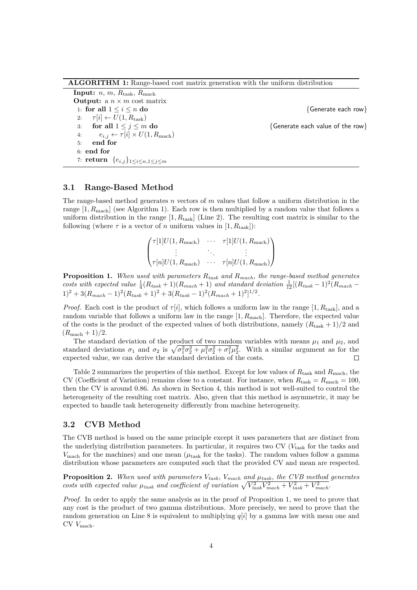**ALGORITHM 1:** Range-based cost matrix generation with the uniform distribution

<span id="page-3-1"></span>**Input:** *n*, *m*, *R*task, *R*mach **Output:** a  $n \times m$  cost matrix 1: **for all** 1 ≤ *i* ≤ *n* **do** {Generate each row} 2:  $\tau[i] \leftarrow U(1, R_{\text{task}})$ <br>3: **for all**  $1 \leq j \leq m$  do 3: **for all**  $1 \leq j \leq m$  **do**  $\{$  **Cenerate each value of the row** $\}$ 4:  $e_{i,j} \leftarrow \tau[i] \times U(1, R_{\text{mach}})$ 5: **end for** 6: **end for** 7: **return** {*ei,j*}1≤*i*≤*n,*1≤*j*≤*<sup>m</sup>*

#### <span id="page-3-0"></span>**3.1 Range-Based Method**

The range-based method generates *n* vectors of *m* values that follow a uniform distribution in the range [1*, R*mach] (see Algorithm [1\)](#page-3-0). Each row is then multiplied by a random value that follows a uniform distribution in the range  $[1, R_{task}]$  (Line [2\)](#page-3-1). The resulting cost matrix is similar to the following (where  $\tau$  is a vector of *n* uniform values in  $[1, R_{\text{task}})$ ):

$$
\begin{pmatrix}\n\tau[1]U(1, R_{\text{mach}}) & \cdots & \tau[1]U(1, R_{\text{mach}}) \\
\vdots & \ddots & \vdots \\
\tau[n]U(1, R_{\text{mach}}) & \cdots & \tau[n]U(1, R_{\text{mach}})\n\end{pmatrix}
$$

<span id="page-3-2"></span>**Proposition 1.** *When used with parameters Rtask and Rmach, the range-based method generates* costs with expected value  $\frac{1}{4}(R_{task}+1)(R_{mach}+1)$  and standard deviation  $\frac{1}{12}[(R_{task}-1)^2(R_{mach}-1)]$  $1)^2 + 3(R_{mach} - 1)^2(R_{task} + 1)^2 + 3(R_{task} - 1)^2(R_{mach} + 1)^2$ <sup>1/2</sup>.

*Proof.* Each cost is the product of  $\tau[i]$ , which follows a uniform law in the range  $[1, R_{\text{task}}]$ , and a random variable that follows a uniform law in the range [1*, R*mach]. Therefore, the expected value of the costs is the product of the expected values of both distributions, namely  $(R_{\text{task}} + 1)/2$  and  $(R_{\text{mach}} + 1)/2$ .

The standard deviation of the product of two random variables with means  $\mu_1$  and  $\mu_2$ , and standard deviations  $\sigma_1$  and  $\sigma_2$  is  $\sqrt{\sigma_1^2 \sigma_2^2 + \mu_1^2 \sigma_2^2 + \sigma_1^2 \mu_2^2}$ . With a similar argument as for the expected value, we can derive the standard deviation of the costs.  $\Box$ 

Table [2](#page-4-0) summarizes the properties of this method. Except for low values of *R*task and *R*mach, the CV (Coefficient of Variation) remains close to a constant. For instance, when  $R_{\text{task}} = R_{\text{mach}} = 100$ , then the CV is around 0*.*86. As shown in Section [4,](#page-5-0) this method is not well-suited to control the heterogeneity of the resulting cost matrix. Also, given that this method is asymmetric, it may be expected to handle task heterogeneity differently from machine heterogeneity.

#### **3.2 CVB Method**

The CVB method is based on the same principle except it uses parameters that are distinct from the underlying distribution parameters. In particular, it requires two CV (*V*task for the tasks and  $V_{\text{mach}}$  for the machines) and one mean ( $\mu_{\text{task}}$  for the tasks). The random values follow a gamma distribution whose parameters are computed such that the provided CV and mean are respected.

**Proposition 2.** *When used with parameters Vtask, Vmach and µtask, the CVB method generates costs with expected value*  $\mu_{task}$  and coefficient of variation  $\sqrt{V_{task}^2 V_{mach}^2 + V_{task}^2 + V_{mach}^2}$ .

*Proof.* In order to apply the same analysis as in the proof of Proposition [1,](#page-3-2) we need to prove that any cost is the product of two gamma distributions. More precisely, we need to prove that the random generation on Line [8](#page-4-1) is equivalent to multiplying *q*[*i*] by a gamma law with mean one and CV *V*mach.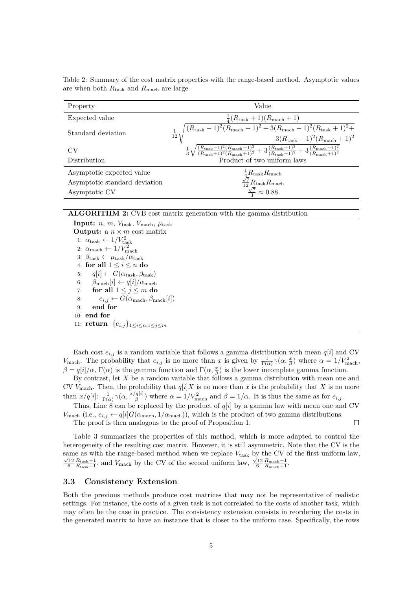<span id="page-4-0"></span>Table 2: Summary of the cost matrix properties with the range-based method. Asymptotic values are when both *R*task and *R*mach are large.

| Property                      | Value                                                                                                                                                                                                                        |
|-------------------------------|------------------------------------------------------------------------------------------------------------------------------------------------------------------------------------------------------------------------------|
| Expected value                | $\frac{1}{4}(R_{\rm task}+1)(R_{\rm mach}+1)$                                                                                                                                                                                |
| Standard deviation            | $\sqrt{(R_{\text{task}}-1)^2(R_{\text{mach}}-1)^2+3(R_{\text{mach}}-1)^2(R_{\text{task}}+1)^2+}\ 3(R_{\text{task}}-1)^2(R_{\text{mach}}+1)^2}$<br>$rac{1}{12}$                                                               |
|                               |                                                                                                                                                                                                                              |
| CV                            | $\frac{1}{3}\sqrt{\frac{(R_{\text{task}}-1)^2(R_{\text{mach}}-1)^2}{(R_{\text{task}}+1)^2(R_{\text{mach}}+1)^2}}+3\frac{(R_{\text{task}}-1)^2}{(R_{\text{task}}+1)^2}+3\frac{(R_{\text{mach}}-1)^2}{(R_{\text{mach}}+1)^2}}$ |
| Distribution                  | Product of two uniform laws                                                                                                                                                                                                  |
| Asymptotic expected value     |                                                                                                                                                                                                                              |
| Asymptotic standard deviation | $\frac{\frac{1}{4}R_{\text{task}}R_{\text{mach}}}{\frac{\sqrt{7}}{12}R_{\text{task}}R_{\text{mach}}}\n$                                                                                                                      |
| Asymptotic CV                 | $\frac{1}{2}\sqrt{7} \approx 0.88$                                                                                                                                                                                           |

#### **ALGORITHM 2:** CVB cost matrix generation with the gamma distribution

**Input:** *n*, *m*,  $V_{\text{task}}$ ,  $V_{\text{mach}}$ ,  $\mu_{\text{task}}$ **Output:** a  $n \times m$  cost matrix 1:  $\alpha_{\text{task}} \leftarrow 1/V_{\text{task}}^2$ 2:  $\alpha_{\text{mach}} \leftarrow 1/V_{\text{mach}}^2$ 3:  $\beta_{\text{task}} \leftarrow \mu_{\text{task}} / \alpha_{\text{task}}$ 4: **for all** 1 ≤ *i* ≤ *n* **do** 5:  $q[i] \leftarrow G(\alpha_{\text{task}}, \beta_{\text{task}})$ 6:  $\beta_{\text{mach}}[i] \leftarrow q[i]/\alpha_{\text{mach}}$ 7: **for all**  $1 \leq j \leq m$  **do** 8:  $e_{i,j} \leftarrow G(\alpha_{\text{mach}}, \beta_{\text{mach}}[i])$ 9: **end for** 10: **end for** 11: **return**  ${e_{i,j}}_{1 \leq i \leq n, 1 \leq j \leq m}$ 

<span id="page-4-1"></span>Each cost  $e_{i,j}$  is a random variable that follows a gamma distribution with mean  $q[i]$  and CV *V*<sub>mach</sub>. The probability that  $e_{i,j}$  is no more than *x* is given by  $\frac{1}{\Gamma(\alpha)}\gamma(\alpha,\frac{x}{\beta})$  where  $\alpha = 1/V_{\text{mach}}^2$ , *β* = *q*[*i*]/α, Γ(α) is the gamma function and Γ(α,  $\frac{x}{\beta}$ ) is the lower incomplete gamma function.

By contrast, let *X* be a random variable that follows a gamma distribution with mean one and CV  $V_{\text{mach}}$ . Then, the probability that  $q[i]X$  is no more than x is the probability that X is no more than  $x/q[i]$ :  $\frac{1}{\Gamma(\alpha)}\gamma(\alpha, \frac{x/q[i]}{\beta})$  $\beta$ <sup>*g*[*i*]</sup>) where  $\alpha = 1/V_{\text{mach}}^2$  and  $\beta = 1/\alpha$ . It is thus the same as for  $e_{i,j}$ .

Thus, Line [8](#page-4-1) can be replaced by the product of  $q[i]$  by a gamma law with mean one and CV *V*<sub>mach</sub> (i.e.,  $e_{i,j} \leftarrow q[i]G(\alpha_{\text{mach}}, 1/\alpha_{\text{mach}})$ ), which is the product of two gamma distributions.

The proof is then analogous to the proof of Proposition [1.](#page-3-2)

 $\Box$ 

Table [3](#page-5-1) summarizes the properties of this method, which is more adapted to control the heterogeneity of the resulting cost matrix. However, it is still asymmetric. Note that the CV is the same as with the range-based method when we replace  $V_{\text{task}}$  by the CV of the first uniform law,  $\frac{\sqrt{12}}{6}$   $\frac{R_{\text{task}}-1}{R_{\text{task}}+1}}$ , and  $V_{\text{mach}}$  by the CV of the second uniform law,  $\frac{\sqrt{12}}{6}$   $\frac{R_{\text{mach}}-1}{R_{\text{mach}}+1}$ .

#### **3.3 Consistency Extension**

Both the previous methods produce cost matrices that may not be representative of realistic settings. For instance, the costs of a given task is not correlated to the costs of another task, which may often be the case in practice. The consistency extension consists in reordering the costs in the generated matrix to have an instance that is closer to the uniform case. Specifically, the rows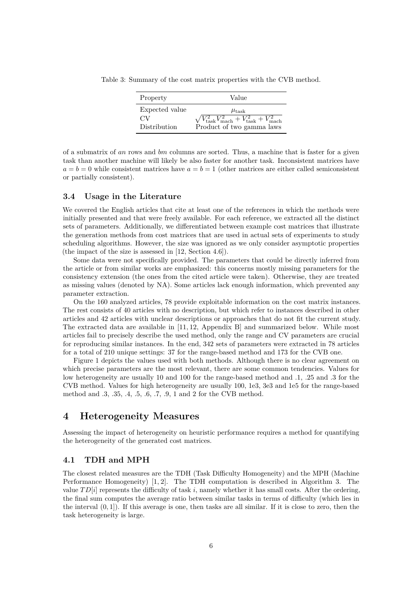<span id="page-5-1"></span>Table 3: Summary of the cost matrix properties with the CVB method.

| Property       | Value                                                                                |
|----------------|--------------------------------------------------------------------------------------|
| Expected value | $\mu_{\rm task}$                                                                     |
| CV             | $\sqrt{V_{\text{task}}^2 V_{\text{mach}}^2 + V_{\text{task}}^2 + V_{\text{mach}}^2}$ |
| Distribution   | Product of two gamma laws                                                            |

of a submatrix of *an* rows and *bm* columns are sorted. Thus, a machine that is faster for a given task than another machine will likely be also faster for another task. Inconsistent matrices have  $a = b = 0$  while consistent matrices have  $a = b = 1$  (other matrices are either called semiconsistent or partially consistent).

#### **3.4 Usage in the Literature**

We covered the English articles that cite at least one of the references in which the methods were initially presented and that were freely available. For each reference, we extracted all the distinct sets of parameters. Additionally, we differentiated between example cost matrices that illustrate the generation methods from cost matrices that are used in actual sets of experiments to study scheduling algorithms. However, the size was ignored as we only consider asymptotic properties (the impact of the size is assessed in [\[12,](#page-21-6) Section 4.6]).

Some data were not specifically provided. The parameters that could be directly inferred from the article or from similar works are emphasized: this concerns mostly missing parameters for the consistency extension (the ones from the cited article were taken). Otherwise, they are treated as missing values (denoted by NA). Some articles lack enough information, which prevented any parameter extraction.

On the 160 analyzed articles, 78 provide exploitable information on the cost matrix instances. The rest consists of 40 articles with no description, but which refer to instances described in other articles and 42 articles with unclear descriptions or approaches that do not fit the current study. The extracted data are available in [\[11,](#page-21-5) [12,](#page-21-6) Appendix B] and summarized below. While most articles fail to precisely describe the used method, only the range and CV parameters are crucial for reproducing similar instances. In the end, 342 sets of parameters were extracted in 78 articles for a total of 210 unique settings: 37 for the range-based method and 173 for the CVB one.

Figure [1](#page-6-0) depicts the values used with both methods. Although there is no clear agreement on which precise parameters are the most relevant, there are some common tendencies. Values for low heterogeneity are usually 10 and 100 for the range-based method and *.*1, *.*25 and *.*3 for the CVB method. Values for high heterogeneity are usually 100, 1e3, 3e3 and 1e5 for the range-based method and *.*3, *.*35, *.*4, *.*5, *.*6, *.*7, *.*9, 1 and 2 for the CVB method.

### <span id="page-5-0"></span>**4 Heterogeneity Measures**

Assessing the impact of heterogeneity on heuristic performance requires a method for quantifying the heterogeneity of the generated cost matrices.

### **4.1 TDH and MPH**

The closest related measures are the TDH (Task Difficulty Homogeneity) and the MPH (Machine Performance Homogeneity) [\[1,](#page-20-8) [2\]](#page-20-7). The TDH computation is described in Algorithm [3.](#page-6-1) The value  $TD[i]$  represents the difficulty of task i, namely whether it has small costs. After the ordering, the final sum computes the average ratio between similar tasks in terms of difficulty (which lies in the interval  $(0, 1]$ ). If this average is one, then tasks are all similar. If it is close to zero, then the task heterogeneity is large.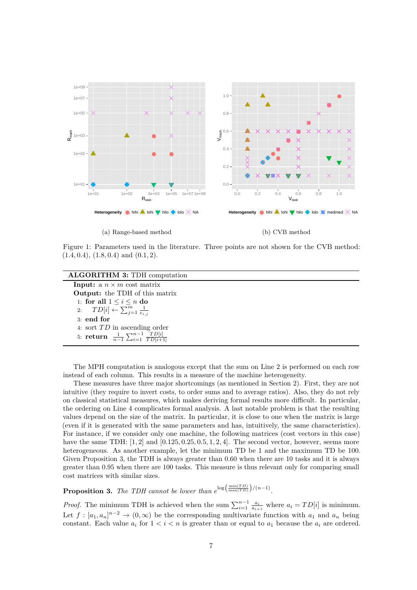<span id="page-6-0"></span>

(a) Range-based method

(b) CVB method

Figure 1: Parameters used in the literature. Three points are not shown for the CVB method: (1*.*4*,* 0*.*4), (1*.*8*,* 0*.*4) and (0*.*1*,* 2).

<span id="page-6-3"></span><span id="page-6-2"></span>

| <b>ALGORITHM 3: TDH computation</b>                                     |
|-------------------------------------------------------------------------|
| <b>Input:</b> a $n \times m$ cost matrix                                |
| <b>Output:</b> the TDH of this matrix                                   |
| 1: for all $1 \leq i \leq n$ do                                         |
| 2: $TD[i] \leftarrow \sum_{j=1}^{m} \frac{1}{e_{ij}}$                   |
| $3:$ end for                                                            |
| 4. sort $TD$ in ascending order                                         |
| 5: <b>return</b> $\frac{1}{n-1} \sum_{i=1}^{n-1} \frac{TD[i]}{TD[i+1]}$ |

<span id="page-6-1"></span>The MPH computation is analogous except that the sum on Line [2](#page-6-2) is performed on each row instead of each column. This results in a measure of the machine heterogeneity.

These measures have three major shortcomings (as mentioned in Section [2\)](#page-1-2). First, they are not intuitive (they require to invert costs, to order sums and to average ratios). Also, they do not rely on classical statistical measures, which makes deriving formal results more difficult. In particular, the ordering on Line [4](#page-6-3) complicates formal analysis. A last notable problem is that the resulting values depend on the size of the matrix. In particular, it is close to one when the matrix is large (even if it is generated with the same parameters and has, intuitively, the same characteristics). For instance, if we consider only one machine, the following matrices (cost vectors in this case) have the same TDH: [1*,* 2] and [0*.*125*,* 0*.*25*,* 0*.*5*,* 1*,* 2*,* 4]. The second vector, however, seems more heterogeneous. As another example, let the minimum TD be 1 and the maximum TD be 100. Given Proposition [3,](#page-6-4) the TDH is always greater than 0*.*60 when there are 10 tasks and it is always greater than 0*.*95 when there are 100 tasks. This measure is thus relevant only for comparing small cost matrices with similar sizes.

<span id="page-6-4"></span>**Proposition 3.** The TDH cannot be lower than  $e^{\log(\frac{\min(TD)}{\max(TD)})/(n-1)}$ .

*Proof.* The minimum TDH is achieved when the sum  $\sum_{i=1}^{n-1} \frac{a_i}{a_{i+1}}$  where  $a_i = TD[i]$  is minimum. Let  $f : [a_1, a_n]^{n-2} \to (0, \infty)$  be the corresponding multivariate function with  $a_1$  and  $a_n$  being constant. Each value  $a_i$  for  $1 < i < n$  is greater than or equal to  $a_1$  because the  $a_i$  are ordered.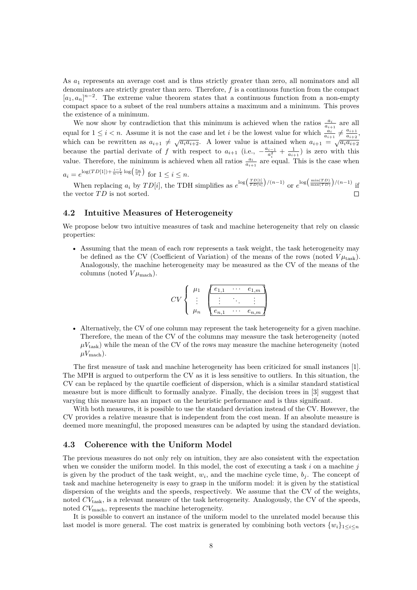As *a*<sup>1</sup> represents an average cost and is thus strictly greater than zero, all nominators and all denominators are strictly greater than zero. Therefore, *f* is a continuous function from the compact  $[a_1, a_n]^{n-2}$ . The extreme value theorem states that a continuous function from a non-empty compact space to a subset of the real numbers attains a maximum and a minimum. This proves the existence of a minimum.

We now show by contradiction that this minimum is achieved when the ratios  $\frac{a_i}{a_{i+1}}$  are all equal for  $1 \leq i < n$ . Assume it is not the case and let *i* be the lowest value for which  $\frac{a_i}{a_{i+1}} \neq \frac{a_{i+1}}{a_{i+2}}$  $\frac{a_{i+1}}{a_{i+2}},$ which can be rewritten as  $a_{i+1} \neq \sqrt{a_i a_{i+2}}$ . A lower value is attained when  $a_{i+1} = \sqrt{a_i a_{i+2}}$ because the partial derivate of *f* with respect to  $a_{i+1}$  (i.e.,  $-\frac{a_{i-1}}{a_i^2} + \frac{1}{a_{i+1}}$ ) is zero with this value. Therefore, the minimum is achieved when all ratios  $\frac{a_i}{a_{i+1}}$  are equal. This is the case when  $a_i = e^{\log(TD[1]) + \frac{i-1}{n-1}\log(\frac{a_n}{a_1})}$  for  $1 \le i \le n$ .

When replacing  $a_i$  by  $TD[i]$ , the TDH simplifies as  $e^{\log(\frac{TD[1]}{TD[n]}})/(n-1)}$  or  $e^{\log(\frac{\min(TD)}{\max(TD)})/(n-1)}$  if the vector  $TD$  is not sorted.  $\Box$ 

### <span id="page-7-0"></span>**4.2 Intuitive Measures of Heterogeneity**

We propose below two intuitive measures of task and machine heterogeneity that rely on classic properties:

• Assuming that the mean of each row represents a task weight, the task heterogeneity may be defined as the CV (Coefficient of Variation) of the means of the rows (noted  $V\mu_{\text{task}}$ ). Analogously, the machine heterogeneity may be measured as the CV of the means of the columns (noted  $V\mu_{\text{mach}}$ ).

$$
CV \left\{ \begin{array}{c} \mu_1 \\ \vdots \\ \mu_n \end{array} \begin{array}{c} \boxed{e_{1,1} \cdots e_{1,m}} \\ \vdots \\ \boxed{e_{n,1} \cdots e_{n,m}} \end{array} \right\}
$$

• Alternatively, the CV of one column may represent the task heterogeneity for a given machine. Therefore, the mean of the CV of the columns may measure the task heterogeneity (noted  $\mu V_{\text{task}}$ ) while the mean of the CV of the rows may measure the machine heterogeneity (noted  $\mu V_{\text{mach}}$ ).

The first measure of task and machine heterogeneity has been criticized for small instances [\[1\]](#page-20-8). The MPH is argued to outperform the CV as it is less sensitive to outliers. In this situation, the CV can be replaced by the quartile coefficient of dispersion, which is a similar standard statistical measure but is more difficult to formally analyze. Finally, the decision trees in [\[3\]](#page-20-6) suggest that varying this measure has an impact on the heuristic performance and is thus significant.

With both measures, it is possible to use the standard deviation instead of the CV. However, the CV provides a relative measure that is independent from the cost mean. If an absolute measure is deemed more meaningful, the proposed measures can be adapted by using the standard deviation.

### **4.3 Coherence with the Uniform Model**

The previous measures do not only rely on intuition, they are also consistent with the expectation when we consider the uniform model. In this model, the cost of executing a task *i* on a machine *j* is given by the product of the task weight,  $w_i$ , and the machine cycle time,  $b_j$ . The concept of task and machine heterogeneity is easy to grasp in the uniform model: it is given by the statistical dispersion of the weights and the speeds, respectively. We assume that the CV of the weights, noted  $CV<sub>task</sub>$ , is a relevant measure of the task heterogeneity. Analogously, the CV of the speeds, noted  $CV<sub>mach</sub>$ , represents the machine heterogeneity.

It is possible to convert an instance of the uniform model to the unrelated model because this last model is more general. The cost matrix is generated by combining both vectors  $\{w_i\}_{1\leq i\leq n}$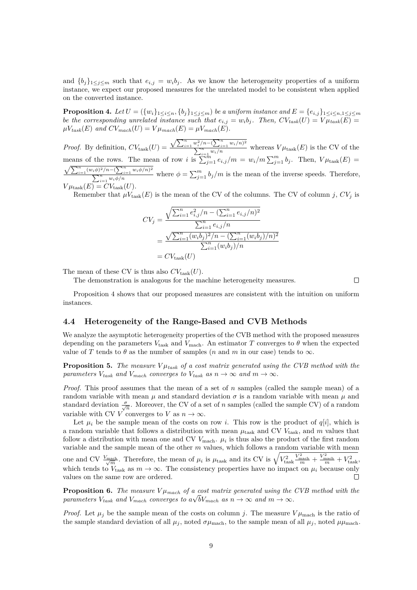and  ${b_j}_{1 \leq j \leq m}$  such that  $e_{i,j} = w_i b_j$ . As we know the heterogeneity properties of a uniform instance, we expect our proposed measures for the unrelated model to be consistent when applied on the converted instance.

<span id="page-8-0"></span>**Proposition 4.** Let  $U = (\{w_i\}_{1 \leq i \leq n}, \{b_j\}_{1 \leq j \leq m})$  be a uniform instance and  $E = \{e_{i,j}\}_{1 \leq i \leq n, 1 \leq j \leq m}$ *be the corresponding unrelated instance such that*  $e_{i,j} = w_i b_j$ . Then,  $CV_{task}(U) = V \mu_{task}(E)$  $\mu V_{task}(E)$  *and*  $CV_{mach}(U) = V \mu_{mach}(E) = \mu V_{mach}(E)$ .

*Proof.* By definition,  $CV_{\text{task}}(U) = \frac{\sqrt{\sum_{i=1}^{n} w_i^2/n - (\sum_{i=1}^{n} w_i/n)^2}}{N}$  $\sum_{i=1}^{n} \frac{w_i}{w_i/n}$  whereas  $V\mu_{\text{task}}(E)$  is the CV of the means of the rows. The mean of row *i* is  $\sum_{j=1}^{i=n} e_{i,j}/m = w_i/m \sum_{j=1}^{m} b_j$ . Then,  $V \mu_{\text{task}}(E) =$  $\sqrt{\sum_{i=1}^{n} (w_i \phi)^2/n - (\sum_{i=1}^{n} w_i \phi/n)^2}$  $\sum_{i=1}^{n} \frac{w_i \phi/n}{w_i \phi/n}$  where  $\phi = \sum_{j=1}^{m} b_j/m$  is the mean of the inverse speeds. Therefore,  $V\mu_{\text{task}}(E) = CV_{\text{task}}(U).$ 

Remember that  $\mu V_{\text{task}}(E)$  is the mean of the CV of the columns. The CV of column *j*,  $CV_j$  is

$$
CV_j = \frac{\sqrt{\sum_{i=1}^n e_{i,j}^2/n - (\sum_{i=1}^n e_{i,j}/n)^2}}{\sum_{i=1}^n e_{i,j}/n}
$$

$$
= \frac{\sqrt{\sum_{i=1}^n (w_i b_j)^2/n - (\sum_{i=1}^n (w_i b_j)/n)^2}}{\sum_{i=1}^n (w_i b_j)/n}
$$

$$
= CV_{\text{task}}(U)
$$

The mean of these CV is thus also  $CV_{\text{task}}(U)$ .

The demonstration is analogous for the machine heterogeneity measures.

 $\Box$ 

Proposition [4](#page-8-0) shows that our proposed measures are consistent with the intuition on uniform instances.

### **4.4 Heterogeneity of the Range-Based and CVB Methods**

We analyze the asymptotic heterogeneity properties of the CVB method with the proposed measures depending on the parameters  $V_{task}$  and  $V_{mach}$ . An estimator *T* converges to  $\theta$  when the expected value of *T* tends to  $\theta$  as the number of samples (*n* and *m* in our case) tends to  $\infty$ .

**Proposition 5.** The measure  $V\mu_{task}$  of a cost matrix generated using the CVB method with the *parameters*  $V_{task}$  *and*  $V_{mach}$  *converges to*  $V_{task}$  *as*  $n \rightarrow \infty$  *and*  $m \rightarrow \infty$ *.* 

*Proof.* This proof assumes that the mean of a set of *n* samples (called the sample mean) of a random variable with mean *µ* and standard deviation *σ* is a random variable with mean *µ* and standard deviation  $\frac{\sigma}{\sqrt{n}}$ . Moreover, the CV of a set of *n* samples (called the sample CV) of a random variable with CV *V* converges to *V* as  $n \to \infty$ .

Let  $\mu_i$  be the sample mean of the costs on row *i*. This row is the product of  $q[i]$ , which is a random variable that follows a distribution with mean  $\mu_{\text{task}}$  and CV  $V_{\text{task}}$ , and  $m$  values that follow a distribution with mean one and CV  $V_{\text{mach}}$ .  $\mu_i$  is thus also the product of the first random variable and the sample mean of the other *m* values, which follows a random variable with mean

one and CV  $\frac{V_{\text{mach}}}{\sqrt{m}}$ . Therefore, the mean of  $\mu_i$  is  $\mu_{\text{task}}$  and its CV is  $\sqrt{V_{\text{task}}^2}$  $\frac{V_{\text{mach}}^2}{m} + \frac{V_{\text{mach}}^2}{m} + V_{\text{task}}^2$ which tends to  $V_{\text{task}}$  as  $m \to \infty$ . The consistency properties have no impact on  $\mu_i$  because only values on the same row are ordered.

**Proposition 6.** *The measure*  $V \mu_{mach}$  *of a cost matrix generated using the CVB method with the parameters*  $V_{task}$  *and*  $V_{mach}$  *converges to*  $a\sqrt{b}V_{mach}$  *as*  $n \rightarrow \infty$  *and*  $m \rightarrow \infty$ *.* 

*Proof.* Let  $\mu_i$  be the sample mean of the costs on column *j*. The measure  $V\mu_{\text{mach}}$  is the ratio of the sample standard deviation of all  $\mu_j$ , noted  $\sigma\mu_{\text{mach}}$ , to the sample mean of all  $\mu_j$ , noted  $\mu\mu_{\text{mach}}$ .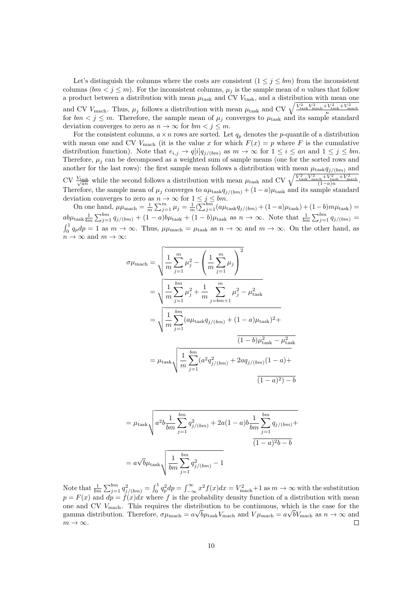Let's distinguish the columns where the costs are consistent  $(1 \leq j \leq bm)$  from the inconsistent columns  $(bm < j \le m)$ . For the inconsistent columns,  $\mu_j$  is the sample mean of *n* values that follow a product between a distribution with mean  $\mu_{\text{task}}$  and CV  $V_{\text{task}}$ , and a distribution with mean one and CV  $V_{\text{mach}}$ . Thus,  $\mu_j$  follows a distribution with mean  $\mu_{\text{task}}$  and CV  $\sqrt{\frac{V_{\text{task}}^2 V_{\text{mach}}^2 + V_{\text{task}}^2 + V_{\text{mach}}^2}{n}}$  for  $bm < j \leq m$ . Therefore, the sample mean of  $\mu_j$  converges to  $\mu_{\text{task}}$  and its sample s deviation converges to zero as  $n \to \infty$  for  $bm < j \leq m$ .

For the consistent columns,  $a \times n$  rows are sorted. Let  $q_p$  denotes the *p*-quantile of a distribution with mean one and CV  $V_{\text{mach}}$  (it is the value *x* for which  $F(x) = p$  where *F* is the cumulative distribution function). Note that  $e_{i,j} \to q[i]q_{j/(bm)}$  as  $m \to \infty$  for  $1 \leq i \leq an$  and  $1 \leq j \leq bm$ . Therefore,  $\mu_i$  can be decomposed as a weighted sum of sample means (one for the sorted rows and another for the last rows): the first sample mean follows a distribution with mean  $\mu_{\text{task}}q_{j/(bm)}$  and  $\text{CV}$   $\frac{V_{\text{task}}}{\sqrt{an}}$  while the second follows a distribution with mean  $\mu_{\text{task}}$  and  $\text{CV}$   $\sqrt{\frac{V_{\text{task}}^2 V_{\text{mask}}^2 + V_{\text{task}}^2 + V_{\text{mask}}^2}{(1-a)n}}$ . Therefore, the sample mean of  $\mu_j$  converges to  $a\mu_{\text{task}}q_{j/(bm)} + (1 - a)\mu_{\text{task}}$  and its sample standard deviation converges to zero as  $n \to \infty$  for  $1 \leq j \leq bm$ .

On one hand,  $\mu\mu_{\text{mach}} = \frac{1}{m} \sum_{j=1}^{m} \mu_j = \frac{1}{m} (\sum_{j=1}^{bm} (a\mu_{\text{task}} q_{j/(bm)}) + (1 - a)\mu_{\text{task}}) + (1 - b)m\mu_{\text{task}}) =$  $ab\mu_{\text{task}}\frac{1}{bm}\sum_{j=1}^{bm}q_{j/(bm)}+(1-a)b\mu_{\text{task}}+(1-b)\mu_{\text{task}}$  as  $n\to\infty$ . Note that  $\frac{1}{bm}\sum_{j=1}^{bm}q_{j/(bm)}=$  $\int_0^1 q_p dp = 1$  as  $m \to \infty$ . Thus,  $\mu \mu_{\text{mach}} = \mu_{\text{task}}$  as  $n \to \infty$  and  $m \to \infty$ . On the other hand, as  $n \to \infty$  and  $m \to \infty$ :

$$
\sigma\mu_{\text{mach}} = \sqrt{\frac{1}{m} \sum_{j=1}^{m} \mu_j^2 - \left(\frac{1}{m} \sum_{j=1}^{m} \mu_j\right)^2}
$$
  
=  $\sqrt{\frac{1}{m} \sum_{j=1}^{bm} \mu_j^2 + \frac{1}{m} \sum_{j=bm+1}^{m} \mu_j^2 - \mu_{\text{task}}^2}$   
=  $\sqrt{\frac{1}{m} \sum_{j=1}^{bm} (a\mu_{\text{task}}q_{j/(bm)} + (1-a)\mu_{\text{task}})^2 + \frac{1}{(1-b)\mu_{\text{task}}^2 - \mu_{\text{task}}^2)}}$   
=  $\mu_{\text{task}} \sqrt{\frac{1}{m} \sum_{j=1}^{bm} (a^2q_{j/(bm)}^2 + 2aq_{j/(bm)}(1-a) + \frac{1}{(1-a)^2) - b}}$ 

$$
= \mu_{\text{task}} \sqrt{a^2 b \frac{1}{bm} \sum_{j=1}^{bm} q_{j/(bm)}^2 + 2a(1-a)b \frac{1}{bm} \sum_{j=1}^{bm} q_{j/(bm)} + \frac{1}{(1-a)^2 b - b}}
$$

$$
= a\sqrt{b}\mu_{\text{task}} \sqrt{\frac{1}{bm} \sum_{j=1}^{bm} q_{j/(bm)}^2 - 1}
$$

Note that  $\frac{1}{bm} \sum_{j=1}^{bm} q_j^2 / (bm) = \int_0^1 q_p^2 dp = \int_{-\infty}^{\infty} x^2 f(x) dx = V_{\text{mach}}^2 + 1$  as  $m \to \infty$  with the substitution  $p = F(x)$  and  $dp = f(x)dx$  where *f* is the probability density function of a distribution with mean one and CV  $V_{\text{mach}}$ . This requires the distribution to be continuous, which is the case for the gamma distribution. Therefore,  $\sigma\mu_{\text{mach}} = a\sqrt{b\mu_{\text{task}}}V_{\text{mach}}$  and  $V\mu_{\text{mach}} = a\sqrt{bV_{\text{mach}}}$  as  $n \to \infty$  and  $m \to \infty$ .  $\Box$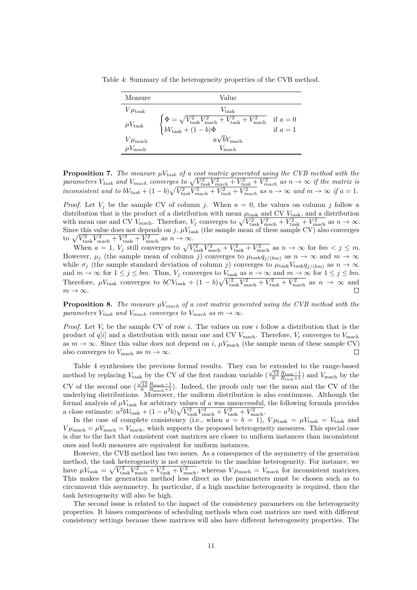<span id="page-10-0"></span>Table 4: Summary of the heterogeneity properties of the CVB method.

| Measure              | Value                                                                                                                                                   |                      |
|----------------------|---------------------------------------------------------------------------------------------------------------------------------------------------------|----------------------|
| $V\mu_{\rm task}$    | $V_{\text{task}}$                                                                                                                                       |                      |
| $\mu V_{\rm task}$   | $\begin{cases} \Phi = \sqrt{V_{\text{task}}^2 V_{\text{mach}}^2 + V_{\text{task}}^2 + V_{\text{mach}}^2} \\ bV_{\text{task}} + (1 - b)\Phi \end{cases}$ | if $a=0$<br>if $a=1$ |
| $V\mu_{\text{mach}}$ | $a\sqrt{b}V_{\text{mach}}$                                                                                                                              |                      |
| $\mu V_{\rm mach}$   | $V_{\text{mach}}$                                                                                                                                       |                      |

**Proposition 7.** *The measure µVtask of a cost matrix generated using the CVB method with the* parameters  $V_{task}$  and  $V_{mach}$  converges to  $\sqrt{V_{task}^2 V_{mach}^2 + V_{task}^2 + V_{mach}^2}$  as  $n \to \infty$  if the matrix is inconsistent and to  $bV_{task} + (1 - b)\sqrt{V_{task}^2 V_{mach}^2 + V_{task}^2 + V_{mach}^2}$  as  $n \to \infty$  and  $m \to \infty$  if  $a = 1$ .

*Proof.* Let  $V_j$  be the sample CV of column *j*. When  $a = 0$ , the values on column *j* follow a distribution that is the product of a distribution with mean  $\mu_{\text{task}}$  and CV  $V_{\text{task}}$ , and a distribution with mean one and CV  $V_{\text{mach}}$ . Therefore,  $V_j$  converges to  $\sqrt{V_{\text{task}}^2 V_{\text{mach}}^2 + V_{\text{task}}^2 + V_{\text{mach}}^2}$  as  $n \to \infty$ . Since this value does not depends on  $j$ ,  $\mu V_{\text{task}}$  (the sample mean of these sample CV) also converges to  $\sqrt{V_{\text{task}}^2 V_{\text{mach}}^2 + V_{\text{task}}^2 + V_{\text{mach}}^2}$  as  $n \to \infty$ .

When  $a = 1$ ,  $V_j$  still converges to  $\sqrt{V_{\text{task}}^2 V_{\text{mach}}^2 + V_{\text{task}}^2 + V_{\text{mach}}^2}$  as  $n \to \infty$  for  $bm < j \leq m$ . However,  $\mu_j$  (the sample mean of column *j*) converges to  $\mu_{\text{task}}q_{j/(bm)}$  as  $n \to \infty$  and  $m \to \infty$ while  $\sigma_j$  (the sample standard deviation of column *j*) converges to  $\mu_{\text{task}}V_{\text{task}}q_{j/(bm)}$  as  $n \to \infty$ and  $m \to \infty$  for  $1 \leq j \leq bm$ . Thus,  $V_j$  converges to  $V_{\text{task}}$  as  $n \to \infty$  and  $m \to \infty$  for  $1 \leq j \leq bm$ . Therefore,  $\mu V_{\text{task}}$  converges to  $bCV_{\text{task}} + (1-b)\sqrt{V_{\text{task}}^2 V_{\text{mach}}^2 + V_{\text{task}}^2 + V_{\text{mach}}^2}$  as  $n \to \infty$  and  $m \to \infty$ .

**Proposition 8.** The measure  $\mu V_{mach}$  of a cost matrix generated using the CVB method with the *parameters*  $V_{task}$  *and*  $V_{mach}$  *converges to*  $V_{mach}$  *as*  $m \rightarrow \infty$ *.* 

*Proof.* Let  $V_i$  be the sample CV of row *i*. The values on row *i* follow a distribution that is the product of  $q[i]$  and a distribution with mean one and CV  $V_{\text{mach}}$ . Therefore,  $V_i$  converges to  $V_{\text{mach}}$ as  $m \to \infty$ . Since this value does not depend on *i*,  $\mu V_{\text{mach}}$  (the sample mean of these sample CV) also converges to  $V_{\text{mach}}$  as  $m \to \infty$ .  $\Box$ 

Table [4](#page-10-0) synthesises the previous formal results. They can be extended to the range-based method by replacing *V*<sub>task</sub> by the CV of the first random variable  $(\frac{\sqrt{12}}{6} \frac{R_{\text{task}}-1}{R_{\text{task}}+1})$  and *V*<sub>mach</sub> by the CV of the second one  $(\frac{\sqrt{12}}{6} \frac{R_{\text{mach}}-1}{R_{\text{mach}}+1})$ . Indeed, the proofs only use the mean and the CV of the underlying distributions. Moreover, the uniform distribution is also continuous. Although the formal analysis of  $\mu V_{\text{task}}$  for arbitrary values of *a* was unsuccessful, the following formula provides a close estimate:  $a^2bV_{\text{task}} + (1 - a^2b)\sqrt{V_{\text{task}}^2V_{\text{mach}}^2 + V_{\text{task}}^2 + V_{\text{mach}}^2}$ .

In the case of complete consistency (i.e., when  $a = b = 1$ ),  $V\mu_{\text{task}} = \mu V_{\text{task}} = V_{\text{task}}$  and  $V\mu_{\text{mach}} = \mu V_{\text{mach}}$ , which supports the proposed heterogeneity measures. This special case is due to the fact that consistent cost matrices are closer to uniform instances than inconsistent ones and both measures are equivalent for uniform instances.

However, the CVB method has two issues. As a consequence of the asymmetry of the generation method, the task heterogeneity is not symmetric to the machine heterogeneity. For instance, we have  $\mu V_{\text{task}} = \sqrt{V_{\text{task}}^2 V_{\text{mach}}^2 + V_{\text{task}}^2 + V_{\text{mach}}^2}$ , whereas  $V \mu_{\text{mach}} = V_{\text{mach}}$  for inconsistent matrices. This makes the generation method less direct as the parameters must be chosen such as to circumvent this asymmetry. In particular, if a high machine heterogeneity is required, then the task heterogeneity will also be high.

The second issue is related to the impact of the consistency parameters on the heterogeneity properties. It biases comparisons of scheduling methods when cost matrices are used with different consistency settings because these matrices will also have different heterogeneity properties. The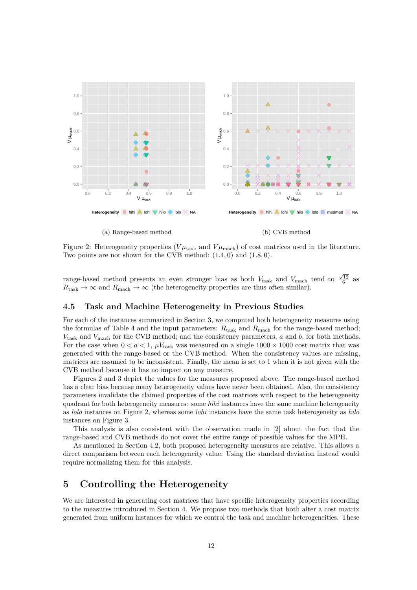<span id="page-11-1"></span>

(a) Range-based method

(b) CVB method

Figure 2: Heterogeneity properties ( $V\mu_{\text{task}}$  and  $V\mu_{\text{mach}}$ ) of cost matrices used in the literature. Two points are not shown for the CVB method: (1*.*4*,* 0) and (1*.*8*,* 0).

range-based method presents an even stronger bias as both  $V_{\text{task}}$  and  $V_{\text{mach}}$  tend to  $\frac{\sqrt{12}}{6}$  as  $R_{\text{task}} \to \infty$  and  $R_{\text{mach}} \to \infty$  (the heterogeneity properties are thus often similar).

### **4.5 Task and Machine Heterogeneity in Previous Studies**

For each of the instances summarized in Section [3,](#page-2-0) we computed both heterogeneity measures using the formulas of Table [4](#page-10-0) and the input parameters:  $R_{task}$  and  $R_{mach}$  for the range-based method; *V*task and *V*mach for the CVB method; and the consistency parameters, *a* and *b*, for both methods. For the case when  $0 < a < 1$ ,  $\mu V_{\text{task}}$  was measured on a single  $1000 \times 1000$  cost matrix that was generated with the range-based or the CVB method. When the consistency values are missing, matrices are assumed to be inconsistent. Finally, the mean is set to 1 when it is not given with the CVB method because it has no impact on any measure.

Figures [2](#page-11-1) and [3](#page-12-0) depict the values for the measures proposed above. The range-based method has a clear bias because many heterogeneity values have never been obtained. Also, the consistency parameters invalidate the claimed properties of the cost matrices with respect to the heterogeneity quadrant for both heterogeneity measures: some *hihi* instances have the same machine heterogeneity as *lolo* instances on Figure [2,](#page-11-1) whereas some *lohi* instances have the same task heterogeneity as *hilo* instances on Figure [3.](#page-12-0)

This analysis is also consistent with the observation made in [\[2\]](#page-20-7) about the fact that the range-based and CVB methods do not cover the entire range of possible values for the MPH.

As mentioned in Section [4.2,](#page-7-0) both proposed heterogeneity measures are relative. This allows a direct comparison between each heterogeneity value. Using the standard deviation instead would require normalizing them for this analysis.

### <span id="page-11-0"></span>**5 Controlling the Heterogeneity**

We are interested in generating cost matrices that have specific heterogeneity properties according to the measures introduced in Section [4.](#page-5-0) We propose two methods that both alter a cost matrix generated from uniform instances for which we control the task and machine heterogeneities. These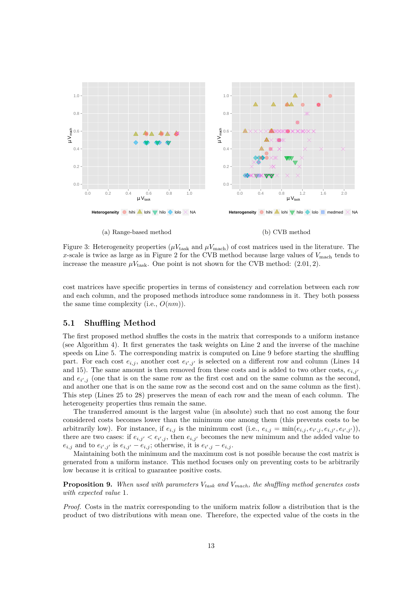<span id="page-12-0"></span>

(a) Range-based method

(b) CVB method

Figure 3: Heterogeneity properties ( $\mu V_{\text{task}}$  and  $\mu V_{\text{mach}}$ ) of cost matrices used in the literature. The *x*-scale is twice as large as in Figure [2](#page-11-1) for the CVB method because large values of  $V_{\text{mach}}$  tends to increase the measure  $\mu V_{\text{task}}$ . One point is not shown for the CVB method: (2.01, 2).

cost matrices have specific properties in terms of consistency and correlation between each row and each column, and the proposed methods introduce some randomness in it. They both possess the same time complexity (i.e., *O*(*nm*)).

#### **5.1 Shuffling Method**

The first proposed method shuffles the costs in the matrix that corresponds to a uniform instance (see Algorithm [4\)](#page-13-0). It first generates the task weights on Line [2](#page-13-1) and the inverse of the machine speeds on Line [5.](#page-13-2) The corresponding matrix is computed on Line [9](#page-13-3) before starting the shuffling part. For each cost  $e_{i,j}$ , another cost  $e_{i',j'}$  is selected on a different row and column (Lines [14](#page-13-4) and [15\)](#page-13-5). The same amount is then removed from these costs and is added to two other costs,  $e_{i,j'}$ and  $e_{i',j}$  (one that is on the same row as the first cost and on the same column as the second, and another one that is on the same row as the second cost and on the same column as the first). This step (Lines [25](#page-13-6) to [28\)](#page-13-7) preserves the mean of each row and the mean of each column. The heterogeneity properties thus remain the same.

The transferred amount is the largest value (in absolute) such that no cost among the four considered costs becomes lower than the minimum one among them (this prevents costs to be arbitrarily low). For instance, if  $e_{i,j}$  is the minimum cost (i.e.,  $e_{i,j} = \min(e_{i,j}, e_{i',j}, e_{i,j'}, e_{i',j'})$ ), there are two cases: if  $e_{i,j'} < e_{i',j}$ , then  $e_{i,j'}$  becomes the new minimum and the added value to  $e_{i,j}$  and to  $e_{i',j'}$  is  $e_{i,j'} - e_{i,j}$ ; otherwise, it is  $e_{i',j} - e_{i,j}$ .

Maintaining both the minimum and the maximum cost is not possible because the cost matrix is generated from a uniform instance. This method focuses only on preventing costs to be arbitrarily low because it is critical to guarantee positive costs.

<span id="page-12-1"></span>**Proposition 9.** *When used with parameters Vtask and Vmach, the shuffling method generates costs with expected value* 1*.*

*Proof.* Costs in the matrix corresponding to the uniform matrix follow a distribution that is the product of two distributions with mean one. Therefore, the expected value of the costs in the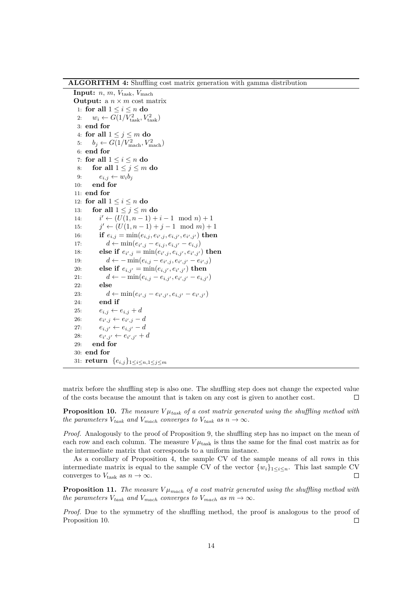**ALGORITHM 4:** Shuffling cost matrix generation with gamma distribution

<span id="page-13-5"></span><span id="page-13-4"></span><span id="page-13-3"></span><span id="page-13-2"></span><span id="page-13-1"></span>**Input:**  $n, m, V_{\text{task}}, V_{\text{mach}}$ **Output:** a  $n \times m$  cost matrix 1: **for all** 1 ≤ *i* ≤ *n* **do** 2:  $w_i \leftarrow G(1/V_{\text{task}}^2, V_{\text{task}}^2)$ 3: **end for** 4: **for all**  $1 \leq j \leq m$  **do** 5:  $b_j \leftarrow G(1/V_{\text{mach}}^2, V_{\text{mach}}^2)$ 6: **end for** 7: **for all**  $1 \leq i \leq n$  **do** 8: **for all**  $1 \leq j \leq m$  **do** 9:  $e_{i,j} \leftarrow w_i b_j$ 10: **end for** 11: **end for** 12: **for all**  $1 \leq i \leq n$  **do** 13: **for all**  $1 \leq j \leq m$  **do** 14: *i*  $i' \leftarrow (U(1, n-1) + i - 1 \mod n) + 1$ 15: *j*  $j'$  ←  $(U(1, n-1) + j - 1 \mod m) + 1$ 16: **if**  $e_{i,j} = \min(e_{i,j}, e_{i',j}, e_{i,j'}, e_{i',j'})$  then 17:  $d \leftarrow \min(e_{i',j} - e_{i,j}, e_{i,j'} - e_{i,j})$ 18: **else if**  $e_{i',j} = \min(e_{i',j}, e_{i,j'}, e_{i',j'})$  then 19:  $d \leftarrow -\min(e_{i,j} - e_{i',j}, e_{i',j'} - e_{i',j})$ 20: **else if**  $e_{i,j'} = \min(e_{i,j'}, e_{i',j'})$  then 21:  $d \leftarrow -\min(e_{i,j} - e_{i,j'}, e_{i',j'} - e_{i,j'})$ 22: **else** 23:  $d \leftarrow \min(e_{i',j} - e_{i',j'}, e_{i,j'} - e_{i',j'})$ 24: **end if** 25:  $e_{i,j} \leftarrow e_{i,j} + d$ 26:  $e_{i',j} \leftarrow e_{i',j} - d$ 27:  $e_{i,j'} \leftarrow e_{i,j'} - d$ 28: *e<sup>i</sup>*  $e_{i',j'} \leftarrow e_{i',j'} + d$ 29: **end for** 30: **end for** 31: **return**  ${e_{i,j}}_{1 \leq i \leq n, 1 \leq j \leq m}$ 

<span id="page-13-7"></span><span id="page-13-6"></span><span id="page-13-0"></span>matrix before the shuffling step is also one. The shuffling step does not change the expected value of the costs because the amount that is taken on any cost is given to another cost.  $\Box$ 

<span id="page-13-8"></span>**Proposition 10.** *The measure*  $V\mu_{task}$  *of a cost matrix generated using the shuffling method with the parameters*  $V_{task}$  *and*  $V_{mach}$  *converges to*  $V_{task}$  *as*  $n \rightarrow \infty$ *.* 

*Proof.* Analogously to the proof of Proposition [9,](#page-12-1) the shuffling step has no impact on the mean of each row and each column. The measure  $V\mu_{\text{task}}$  is thus the same for the final cost matrix as for the intermediate matrix that corresponds to a uniform instance.

As a corollary of Proposition [4,](#page-8-0) the sample CV of the sample means of all rows in this intermediate matrix is equal to the sample CV of the vector  $\{w_i\}_{1\leq i\leq n}$ . This last sample CV converges to  $V_{\text{task}}$  as  $n \to \infty$ .  $\Box$ 

**Proposition 11.** *The measure*  $V\mu_{mach}$  *of a cost matrix generated using the shuffling method with the parameters*  $V_{task}$  *and*  $V_{mach}$  *converges to*  $V_{mach}$  *as*  $m \rightarrow \infty$ *.* 

*Proof.* Due to the symmetry of the shuffling method, the proof is analogous to the proof of Proposition [10.](#page-13-8)  $\Box$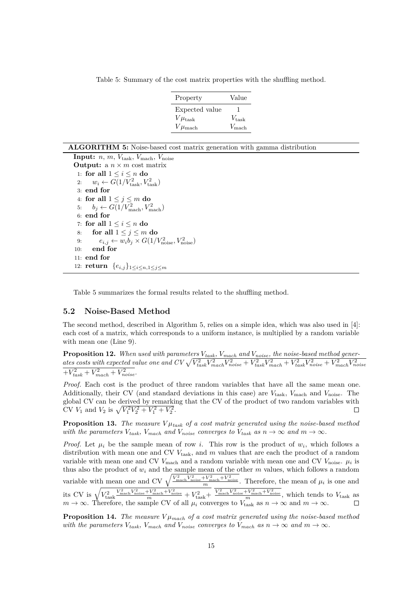<span id="page-14-0"></span>Table 5: Summary of the cost matrix properties with the shuffling method.

| Property             | Value             |
|----------------------|-------------------|
| Expected value       |                   |
| $V\mu_{\rm task}$    | $V_{\rm task}$    |
| $V\mu_{\text{mach}}$ | $V_{\text{mach}}$ |

**Input:**  $n, m, V_{task}, V_{mach}, V_{noise}$ **Output:** a *n* × *m* cost matrix 1: **for all**  $1 \leq i \leq n$  **do** 2:  $w_i \leftarrow G(1/V_{\text{task}}^2, V_{\text{task}}^2)$ 3: **end for** 4: **for all**  $1 \leq j \leq m$  **do** 5:  $b_j \leftarrow G(1/V_{\text{mach}}^2, V_{\text{mach}}^2)$ 6: **end for** 7: **for all** 1 ≤ *i* ≤ *n* **do** 8: **for all**  $1 \leq j \leq m$  **do** 9:  $e_{i,j} \leftarrow w_i b_j \times G(1/V_{\text{noise}}^2, V_{\text{noise}}^2)$ 10: **end for** 11: **end for** 12: **return**  ${e_{i,j}}_{1 \leq i \leq n, 1 \leq j \leq m}$ 

<span id="page-14-2"></span><span id="page-14-1"></span>Table [5](#page-14-0) summarizes the formal results related to the shuffling method.

#### <span id="page-14-4"></span>**5.2 Noise-Based Method**

The second method, described in Algorithm [5,](#page-14-1) relies on a simple idea, which was also used in [\[4\]](#page-20-9): each cost of a matrix, which corresponds to a uniform instance, is multiplied by a random variable with mean one (Line [9\)](#page-14-2).

**Proposition 12.** *When used with parameters Vtask, Vmach and Vnoise, the noise-based method gener*ates costs with expected value one and  $CV\sqrt{V_{task}^2V_{mach}^2V_{noise}^2+V_{task}^2V_{mach}^2+V_{task}^2V_{noise}^2+V_{mach}^2V_{noise}^2}$  $+V_{task}^{2} + V_{mach}^{2} + V_{noise}^{2}$ .

*Proof.* Each cost is the product of three random variables that have all the same mean one. Additionally, their CV (and standard deviations in this case) are *V*task, *V*mach and *V*noise. The global CV can be derived by remarking that the CV of the product of two random variables with CV  $V_1$  and  $V_2$  is  $\sqrt{V_1^2 V_2^2 + V_1^2 + V_2^2}$ .

<span id="page-14-3"></span>**Proposition 13.** *The measure*  $V\mu_{task}$  *of a cost matrix generated using the noise-based method with the parameters*  $V_{task}$ ,  $V_{mach}$  *and*  $V_{noise}$  *converges to*  $V_{task}$  *as*  $n \to \infty$  *and*  $m \to \infty$ *.* 

*Proof.* Let  $\mu_i$  be the sample mean of row *i*. This row is the product of  $w_i$ , which follows a distribution with mean one and CV  $V_{\text{task}}$ , and *m* values that are each the product of a random variable with mean one and CV  $V_{\text{mach}}$  and a random variable with mean one and CV  $V_{\text{noise}}$ .  $\mu_i$  is thus also the product of  $w_i$  and the sample mean of the other  $m$  values, which follows a random variable with mean one and CV  $\sqrt{\frac{V_{\text{mach}}^2 V_{\text{noise}}^2 + V_{\text{noise}}^2}{m}}$ . Therefore, the mean of  $\mu_i$  is one and its CV is  $\sqrt{V_{\rm task}^2}$  $\frac{V_{\text{mach}}^2 V_{\text{noise}}^2 + V_{\text{machine}}^2 + V_{\text{noise}}^2}{m} + V_{\text{task}}^2 + \frac{V_{\text{mach}}^2 V_{\text{noise}}^2 + V_{\text{noise}}^2 + V_{\text{noise}}^2}{m}$ , which tends to  $V_{\text{task}}$  as  $m \to \infty$ . Therefore, the sample CV of all  $\mu_i$  converges to  $V_{\text{task}}$  as  $n \to \infty$  and  $m \to \infty$ .

**Proposition 14.** *The measure*  $V \mu_{mach}$  *of a cost matrix generated using the noise-based method with the parameters*  $V_{task}$ ,  $V_{mach}$  *and*  $V_{noise}$  *converges to*  $V_{mach}$  *as*  $n \to \infty$  *and*  $m \to \infty$ *.*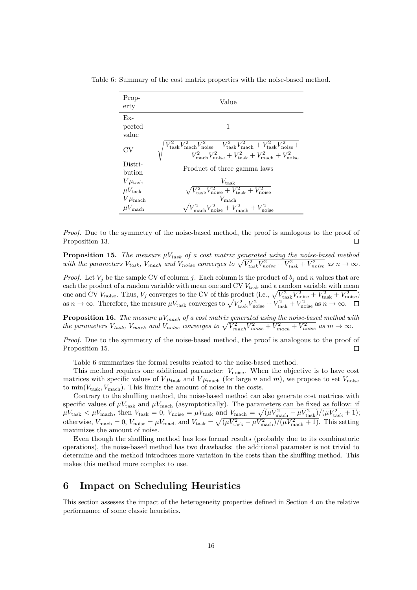| Prop-<br>erty         | Value                                                                                                                                                                                                                                  |
|-----------------------|----------------------------------------------------------------------------------------------------------------------------------------------------------------------------------------------------------------------------------------|
| $Fx-$                 |                                                                                                                                                                                                                                        |
| pected                | 1                                                                                                                                                                                                                                      |
| value                 |                                                                                                                                                                                                                                        |
| CV                    | $\begin{aligned} V_{\rm task}^2 V_{\rm mock}^2 V_{\rm noise}^2 + V_{\rm task}^2 V_{\rm mach}^2 + V_{\rm task}^2 V_{\rm noise}^2 + \\ V_{\rm mach}^2 V_{\rm noise}^2 + V_{\rm task}^2 + V_{\rm nach}^2 + V_{\rm noise}^2 \end{aligned}$ |
| Distri-<br>bution     | Product of three gamma laws                                                                                                                                                                                                            |
| $V\mu_{\rm task}$     | $V_{\rm task}$                                                                                                                                                                                                                         |
| $\mu V_{\rm task}$    | $\sqrt{V_{\rm task}^2 V_{\rm noise}^2 + V_{\rm task}^2 + V_{\rm noise}^2}$                                                                                                                                                             |
| $V\mu_{\text{mach}}$  | $V_{\rm mach}$                                                                                                                                                                                                                         |
| $\mu V_{\text{mach}}$ | $V_{\text{mach}}^2 V_{\text{noise}}^2 + V_{\text{mach}}^2 +$                                                                                                                                                                           |

<span id="page-15-2"></span>Table 6: Summary of the cost matrix properties with the noise-based method.

*Proof.* Due to the symmetry of the noise-based method, the proof is analogous to the proof of Proposition [13.](#page-14-3)  $\Box$ 

<span id="page-15-1"></span>**Proposition 15.** *The measure*  $\mu V_{task}$  *of a cost matrix generated using the noise-based method* with the parameters  $V_{task}$ ,  $V_{mach}$  and  $V_{noise}$  converges to  $\sqrt{V_{task}^2 + V_{task}^2 + V_{noise}^2}$  as  $n \to \infty$ .

*Proof.* Let  $V_j$  be the sample CV of column *j*. Each column is the product of  $b_j$  and *n* values that are each the product of a random variable with mean one and CV  $V_{task}$  and a random variable with mean one and CV  $V_{\text{noise}}$ . Thus,  $V_j$  converges to the CV of this product (i.e.,  $\sqrt{V_{\text{task}}^2 V_{\text{noise}}^2 + V_{\text{task}}^2 + V_{\text{noise}}^2}$ ) as  $n \to \infty$ . Therefore, the measure  $\mu V_{\text{task}}$  converges to  $\sqrt{V_{\text{task}}^2 V_{\text{noise}}^2 + V_{\text{task}}^2 + V_{\text{noise}}^2}$  as  $n \to \infty$ .

**Proposition 16.** *The measure*  $\mu V_{mach}$  *of a cost matrix generated using the noise-based method with* the parameters  $V_{task}$ ,  $V_{mach}$  and  $V_{noise}$  converges to  $\sqrt{V_{mach}^2 V_{noise}^2 + V_{mach}^2 + V_{noise}^2}$  as  $m \to \infty$ .

*Proof.* Due to the symmetry of the noise-based method, the proof is analogous to the proof of Proposition [15.](#page-15-1)  $\Box$ 

Table [6](#page-15-2) summarizes the formal results related to the noise-based method.

This method requires one additional parameter:  $V_{\text{noise}}$ . When the objective is to have cost matrices with specific values of  $V\mu_{\text{task}}$  and  $V\mu_{\text{mach}}$  (for large *n* and *m*), we propose to set  $V_{\text{noise}}$ to  $\min(V_{task}, V_{mach})$ . This limits the amount of noise in the costs.

Contrary to the shuffling method, the noise-based method can also generate cost matrices with specific values of  $\mu V_{\text{task}}$  and  $\mu V_{\text{mach}}$  (asymptotically). The parameters can be fixed as follow: if  $\mu V_{\text{task}} < \mu V_{\text{mach}}$ , then  $V_{\text{task}} = 0$ ,  $V_{\text{noise}} = \mu V_{\text{task}}$  and  $V_{\text{mach}} = \sqrt{(\mu V_{\text{mach}}^2 - \mu V_{\text{task}}^2)/(\mu V_{\text{task}}^2 + 1)}$ ; otherwise,  $V_{\text{mach}} = 0$ ,  $V_{\text{noise}} = \mu V_{\text{mach}}$  and  $V_{\text{task}} = \sqrt{(\mu V_{\text{task}}^2 - \mu V_{\text{mach}}^2)/(\mu V_{\text{mach}}^2 + 1)}$ . This setting maximizes the amount of noise.

Even though the shuffling method has less formal results (probably due to its combinatoric operations), the noise-based method has two drawbacks: the additional parameter is not trivial to determine and the method introduces more variation in the costs than the shuffling method. This makes this method more complex to use.

### <span id="page-15-0"></span>**6 Impact on Scheduling Heuristics**

This section assesses the impact of the heterogeneity properties defined in Section [4](#page-5-0) on the relative performance of some classic heuristics.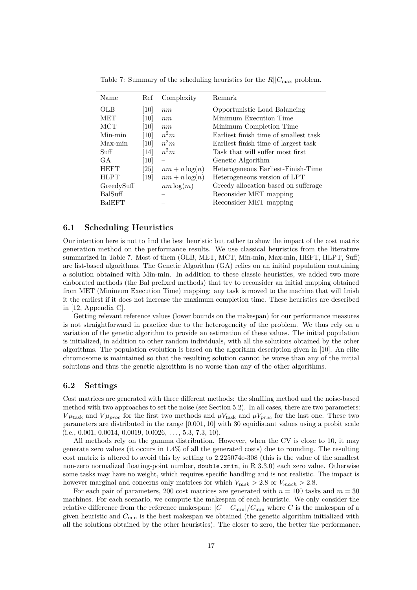| Name            | Ref  | Complexity               | Remark                                |
|-----------------|------|--------------------------|---------------------------------------|
| OLB             | 10   | nm                       | Opportunistic Load Balancing          |
| <b>MET</b>      | 10   | nm                       | Minimum Execution Time                |
| <b>MCT</b>      | 10   | nm                       | Minimum Completion Time               |
| Min-min         | [10] | $n^2m$                   | Earliest finish time of smallest task |
| Max-min         | [10] | $n^2m$                   | Earliest finish time of largest task  |
| $\mathrm{Suff}$ | [14] | $n^2m$                   | Task that will suffer most first      |
| GA.             | 10   | $\overline{\phantom{0}}$ | Genetic Algorithm                     |
| <b>HEFT</b>     | [25] | $nm + n \log(n)$         | Heterogeneous Earliest-Finish-Time    |
| HLPT            | [19] | $nm + n \log(n)$         | Heterogeneous version of LPT          |
| GreedySuff      |      | $nm \log(m)$             | Greedy allocation based on sufferage  |
| <b>BalSuff</b>  |      |                          | Reconsider MET mapping                |
| <b>BalEFT</b>   |      |                          | Reconsider MET mapping                |

<span id="page-16-0"></span>Table 7: Summary of the scheduling heuristics for the  $R||C_{\text{max}}$  problem.

#### **6.1 Scheduling Heuristics**

Our intention here is not to find the best heuristic but rather to show the impact of the cost matrix generation method on the performance results. We use classical heuristics from the literature summarized in Table [7.](#page-16-0) Most of them (OLB, MET, MCT, Min-min, Max-min, HEFT, HLPT, Suff) are list-based algorithms. The Genetic Algorithm (GA) relies on an initial population containing a solution obtained with Min-min. In addition to these classic heuristics, we added two more elaborated methods (the Bal prefixed methods) that try to reconsider an initial mapping obtained from MET (Minimum Execution Time) mapping: any task is moved to the machine that will finish it the earliest if it does not increase the maximum completion time. These heuristics are described in [\[12,](#page-21-6) Appendix C].

Getting relevant reference values (lower bounds on the makespan) for our performance measures is not straightforward in practice due to the heterogeneity of the problem. We thus rely on a variation of the genetic algorithm to provide an estimation of these values. The initial population is initialized, in addition to other random individuals, with all the solutions obtained by the other algorithms. The population evolution is based on the algorithm description given in [\[10\]](#page-20-1). An elite chromosome is maintained so that the resulting solution cannot be worse than any of the initial solutions and thus the genetic algorithm is no worse than any of the other algorithms.

### **6.2 Settings**

Cost matrices are generated with three different methods: the shuffling method and the noise-based method with two approaches to set the noise (see Section [5.2\)](#page-14-4). In all cases, there are two parameters: *V* $\mu_{\text{task}}$  and *V* $\mu_{proc}$  for the first two methods and  $\mu V_{\text{task}}$  and  $\mu V_{proc}$  for the last one. These two parameters are distributed in the range [0*.*001*,* 10] with 30 equidistant values using a probit scale  $(i.e., 0.001, 0.0014, 0.0019, 0.0026, ..., 5.3, 7.3, 10).$ 

All methods rely on the gamma distribution. However, when the CV is close to 10, it may generate zero values (it occurs in 1.4% of all the generated costs) due to rounding. The resulting cost matrix is altered to avoid this by setting to 2.225074e-308 (this is the value of the smallest non-zero normalized floating-point number, double.xmin, in R 3.3.0) each zero value. Otherwise some tasks may have no weight, which requires specific handling and is not realistic. The impact is however marginal and concerns only matrices for which  $V_{task} > 2.8$  or  $V_{mach} > 2.8$ .

For each pair of parameters, 200 cost matrices are generated with  $n = 100$  tasks and  $m = 30$ machines. For each scenario, we compute the makespan of each heuristic. We only consider the relative difference from the reference makespan:  $|C - C_{\text{min}}|/C_{\text{min}}$  where *C* is the makespan of a given heuristic and *C*min is the best makespan we obtained (the genetic algorithm initialized with all the solutions obtained by the other heuristics). The closer to zero, the better the performance.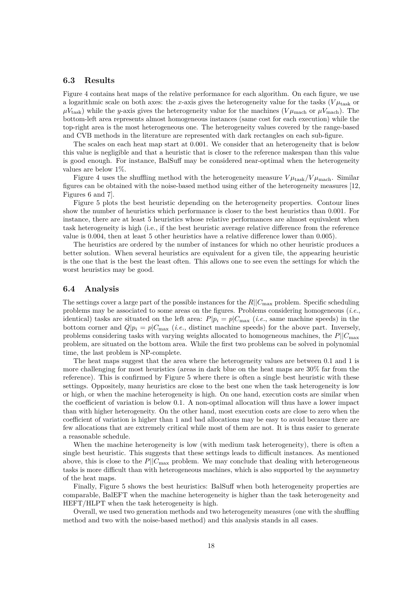### **6.3 Results**

Figure [4](#page-18-0) contains heat maps of the relative performance for each algorithm. On each figure, we use a logarithmic scale on both axes: the *x*-axis gives the heterogeneity value for the tasks ( $V\mu_{\rm task}$  or  $\mu V_{\text{task}}$ ) while the *y*-axis gives the heterogeneity value for the machines ( $V \mu_{\text{mach}}$  or  $\mu V_{\text{mach}}$ ). The bottom-left area represents almost homogeneous instances (same cost for each execution) while the top-right area is the most heterogeneous one. The heterogeneity values covered by the range-based and CVB methods in the literature are represented with dark rectangles on each sub-figure.

The scales on each heat map start at 0.001. We consider that an heterogeneity that is below this value is negligible and that a heuristic that is closer to the reference makespan than this value is good enough. For instance, BalSuff may be considered near-optimal when the heterogeneity values are below 1%.

Figure [4](#page-18-0) uses the shuffling method with the heterogeneity measure  $V\mu_{\text{task}}/V\mu_{\text{mach}}$ . Similar figures can be obtained with the noise-based method using either of the heterogeneity measures [\[12,](#page-21-6) Figures 6 and 7].

Figure [5](#page-19-0) plots the best heuristic depending on the heterogeneity properties. Contour lines show the number of heuristics which performance is closer to the best heuristics than 0.001. For instance, there are at least 5 heuristics whose relative performances are almost equivalent when task heterogeneity is high (i.e., if the best heuristic average relative difference from the reference value is 0.004, then at least 5 other heuristics have a relative difference lower than 0.005).

The heuristics are ordered by the number of instances for which no other heuristic produces a better solution. When several heuristics are equivalent for a given tile, the appearing heuristic is the one that is the best the least often. This allows one to see even the settings for which the worst heuristics may be good.

#### **6.4 Analysis**

The settings cover a large part of the possible instances for the *R*||*C*max problem. Specific scheduling problems may be associated to some areas on the figures. Problems considering homogeneous (*i.e.*, identical) tasks are situated on the left area:  $P|p_i = p|C_{\text{max}}$  (*i.e.*, same machine speeds) in the bottom corner and  $Q|p_i = p|C_{\text{max}}$  (*i.e.*, distinct machine speeds) for the above part. Inversely, problems considering tasks with varying weights allocated to homogeneous machines, the  $P||C_{\text{max}}$ problem, are situated on the bottom area. While the first two problems can be solved in polynomial time, the last problem is NP-complete.

The heat maps suggest that the area where the heterogeneity values are between 0.1 and 1 is more challenging for most heuristics (areas in dark blue on the heat maps are 30% far from the reference). This is confirmed by Figure [5](#page-19-0) where there is often a single best heuristic with these settings. Oppositely, many heuristics are close to the best one when the task heterogeneity is low or high, or when the machine heterogeneity is high. On one hand, execution costs are similar when the coefficient of variation is below 0.1. A non-optimal allocation will thus have a lower impact than with higher heterogeneity. On the other hand, most execution costs are close to zero when the coefficient of variation is higher than 1 and bad allocations may be easy to avoid because there are few allocations that are extremely critical while most of them are not. It is thus easier to generate a reasonable schedule.

When the machine heterogeneity is low (with medium task heterogeneity), there is often a single best heuristic. This suggests that these settings leads to difficult instances. As mentioned above, this is close to the  $P||C_{\text{max}}$  problem. We may conclude that dealing with heterogeneous tasks is more difficult than with heterogeneous machines, which is also supported by the asymmetry of the heat maps.

Finally, Figure [5](#page-19-0) shows the best heuristics: BalSuff when both heterogeneity properties are comparable, BalEFT when the machine heterogeneity is higher than the task heterogeneity and HEFT/HLPT when the task heterogeneity is high.

Overall, we used two generation methods and two heterogeneity measures (one with the shuffling method and two with the noise-based method) and this analysis stands in all cases.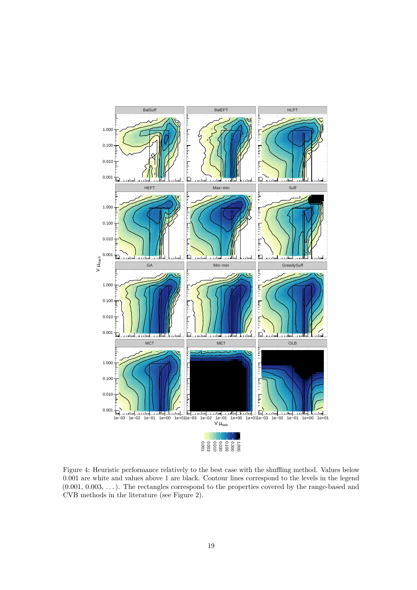<span id="page-18-0"></span>

Figure 4: Heuristic performance relatively to the best case with the shuffling method. Values below 0.001 are white and values above 1 are black. Contour lines correspond to the levels in the legend  $(0.001, 0.003, \ldots)$ . The rectangles correspond to the properties covered by the range-based and CVB methods in the literature (see Figure [2\)](#page-11-1).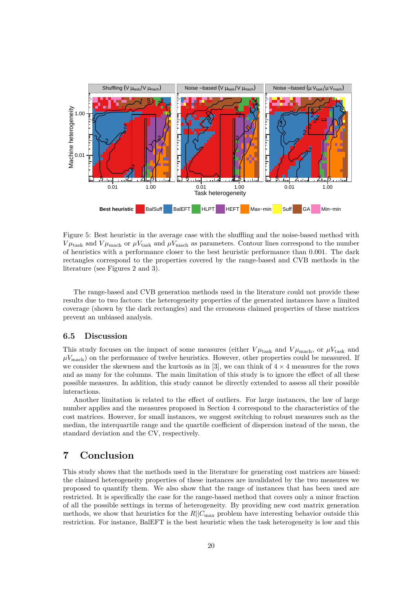<span id="page-19-0"></span>

Figure 5: Best heuristic in the average case with the shuffling and the noise-based method with  $V\mu_{\text{task}}$  and  $V\mu_{\text{mach}}$  or  $\mu V_{\text{task}}$  and  $\mu V_{\text{mach}}$  as parameters. Contour lines correspond to the number of heuristics with a performance closer to the best heuristic performance than 0.001. The dark rectangles correspond to the properties covered by the range-based and CVB methods in the literature (see Figures [2](#page-11-1) and [3\)](#page-12-0).

The range-based and CVB generation methods used in the literature could not provide these results due to two factors: the heterogeneity properties of the generated instances have a limited coverage (shown by the dark rectangles) and the erroneous claimed properties of these matrices prevent an unbiased analysis.

### <span id="page-19-1"></span>**6.5 Discussion**

This study focuses on the impact of some measures (either  $V\mu_{\text{task}}$  and  $V\mu_{\text{mach}}$ , or  $\mu V_{\text{task}}$  and  $\mu V_{\text{mach}}$ ) on the performance of twelve heuristics. However, other properties could be measured. If we consider the skewness and the kurtosis as in [\[3\]](#page-20-6), we can think of  $4 \times 4$  measures for the rows and as many for the columns. The main limitation of this study is to ignore the effect of all these possible measures. In addition, this study cannot be directly extended to assess all their possible interactions.

Another limitation is related to the effect of outliers. For large instances, the law of large number applies and the measures proposed in Section [4](#page-5-0) correspond to the characteristics of the cost matrices. However, for small instances, we suggest switching to robust measures such as the median, the interquartile range and the quartile coefficient of dispersion instead of the mean, the standard deviation and the CV, respectively.

# **7 Conclusion**

This study shows that the methods used in the literature for generating cost matrices are biased: the claimed heterogeneity properties of these instances are invalidated by the two measures we proposed to quantify them. We also show that the range of instances that has been used are restricted. It is specifically the case for the range-based method that covers only a minor fraction of all the possible settings in terms of heterogeneity. By providing new cost matrix generation methods, we show that heuristics for the  $R||C_{\text{max}}$  problem have interesting behavior outside this restriction. For instance, BalEFT is the best heuristic when the task heterogeneity is low and this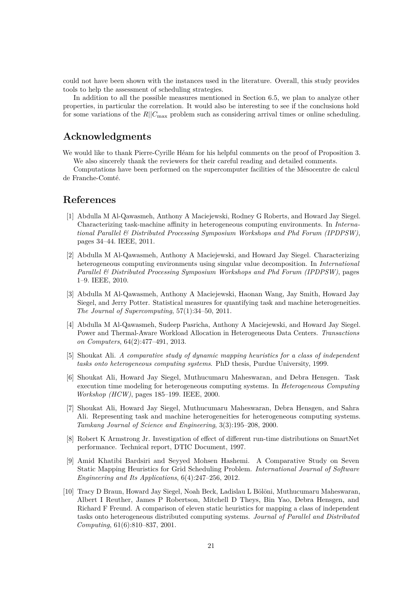could not have been shown with the instances used in the literature. Overall, this study provides tools to help the assessment of scheduling strategies.

In addition to all the possible measures mentioned in Section [6.5,](#page-19-1) we plan to analyze other properties, in particular the correlation. It would also be interesting to see if the conclusions hold for some variations of the  $R||C_{\text{max}}$  problem such as considering arrival times or online scheduling.

# **Acknowledgments**

We would like to thank Pierre-Cyrille Héam for his helpful comments on the proof of Proposition [3.](#page-6-4) We also sincerely thank the reviewers for their careful reading and detailed comments.

Computations have been performed on the supercomputer facilities of the Mésocentre de calcul de Franche-Comté.

### **References**

- <span id="page-20-8"></span>[1] Abdulla M Al-Qawasmeh, Anthony A Maciejewski, Rodney G Roberts, and Howard Jay Siegel. Characterizing task-machine affinity in heterogeneous computing environments. In *International Parallel & Distributed Processing Symposium Workshops and Phd Forum (IPDPSW)*, pages 34–44. IEEE, 2011.
- <span id="page-20-7"></span>[2] Abdulla M Al-Qawasmeh, Anthony A Maciejewski, and Howard Jay Siegel. Characterizing heterogeneous computing environments using singular value decomposition. In *International Parallel & Distributed Processing Symposium Workshops and Phd Forum (IPDPSW)*, pages 1–9. IEEE, 2010.
- <span id="page-20-6"></span>[3] Abdulla M Al-Qawasmeh, Anthony A Maciejewski, Haonan Wang, Jay Smith, Howard Jay Siegel, and Jerry Potter. Statistical measures for quantifying task and machine heterogeneities. *The Journal of Supercomputing*, 57(1):34–50, 2011.
- <span id="page-20-9"></span>[4] Abdulla M Al-Qawasmeh, Sudeep Pasricha, Anthony A Maciejewski, and Howard Jay Siegel. Power and Thermal-Aware Workload Allocation in Heterogeneous Data Centers. *Transactions on Computers*, 64(2):477–491, 2013.
- <span id="page-20-5"></span>[5] Shoukat Ali. *A comparative study of dynamic mapping heuristics for a class of independent tasks onto heterogeneous computing systems*. PhD thesis, Purdue University, 1999.
- <span id="page-20-2"></span>[6] Shoukat Ali, Howard Jay Siegel, Muthucumaru Maheswaran, and Debra Hensgen. Task execution time modeling for heterogeneous computing systems. In *Heterogeneous Computing Workshop (HCW)*, pages 185–199. IEEE, 2000.
- <span id="page-20-3"></span>[7] Shoukat Ali, Howard Jay Siegel, Muthucumaru Maheswaran, Debra Hensgen, and Sahra Ali. Representing task and machine heterogeneities for heterogeneous computing systems. *Tamkang Journal of Science and Engineering*, 3(3):195–208, 2000.
- <span id="page-20-4"></span>[8] Robert K Armstrong Jr. Investigation of effect of different run-time distributions on SmartNet performance. Technical report, DTIC Document, 1997.
- <span id="page-20-0"></span>[9] Amid Khatibi Bardsiri and Seyyed Mohsen Hashemi. A Comparative Study on Seven Static Mapping Heuristics for Grid Scheduling Problem. *International Journal of Software Engineering and Its Applications*, 6(4):247–256, 2012.
- <span id="page-20-1"></span>[10] Tracy D Braun, Howard Jay Siegel, Noah Beck, Ladislau L Bölöni, Muthucumaru Maheswaran, Albert I Reuther, James P Robertson, Mitchell D Theys, Bin Yao, Debra Hensgen, and Richard F Freund. A comparison of eleven static heuristics for mapping a class of independent tasks onto heterogeneous distributed computing systems. *Journal of Parallel and Distributed Computing*, 61(6):810–837, 2001.